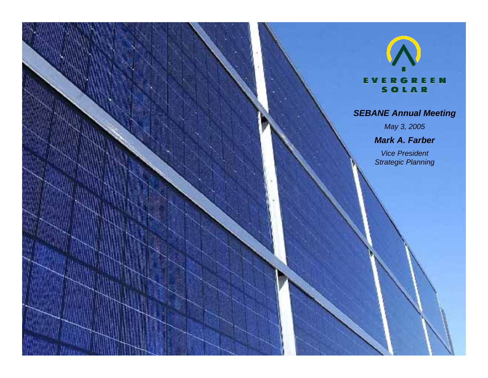#### **EVERGREEN** SOLAR

#### *SEBANE Annual Meeting*

*May 3, 2005*

*Mark A. Farber*

*Vice President Strategic Planning*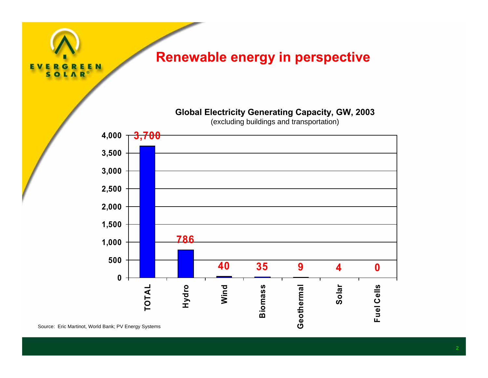

Source: Eric Martinot, World Bank; PV Energy Systems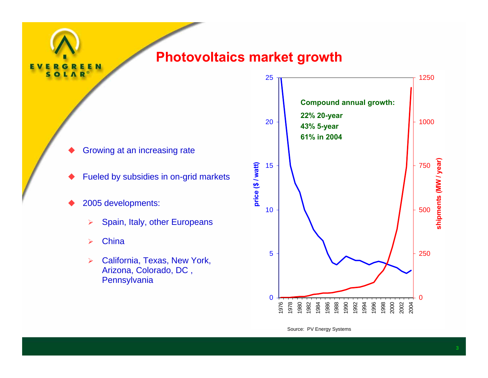#### **Photovoltaics market growth**

- ♦ Growing at an increasing rate
- ♦ Fueled by subsidies in on-grid markets
- ♦ 2005 developments:
	- $\blacktriangleright$ Spain, Italy, other Europeans
	- ¾**China**

 $\frac{E}{R}$ 

 $\mathbf{A}$ 

Ś ō **EN** 

¾ California, Texas, New York, Arizona, Colorado, DC , **Pennsylvania** 



Source: PV Energy Systems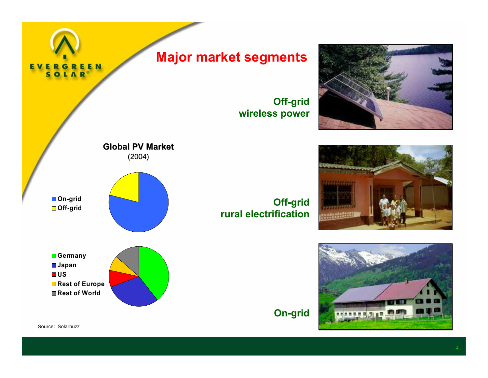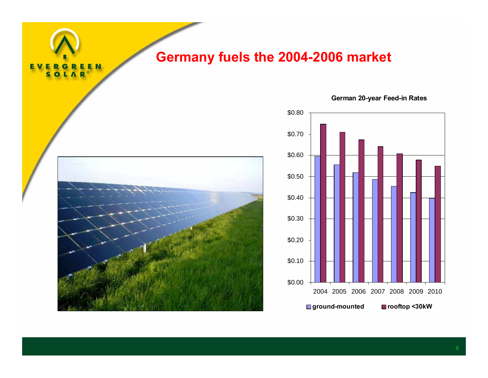## **Germany fuels the 2004-2006 market**



E<br>R

**EN** 

E

ς



**German 20-year Feed-in Rates**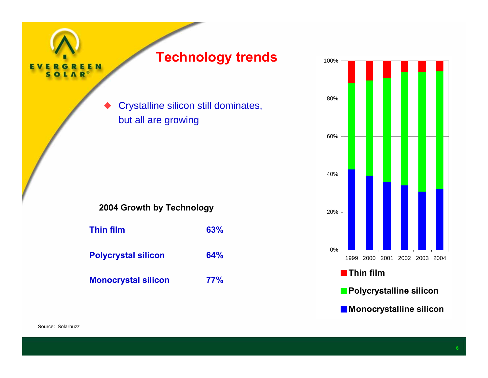

# **Technology trends**

 Crystalline silicon still dominates, but all are growing

#### **2004 Growth by Technology**

| <b>Thin film</b>           | 63% |
|----------------------------|-----|
| <b>Polycrystal silicon</b> | 64% |
| <b>Monocrystal silicon</b> | 77% |

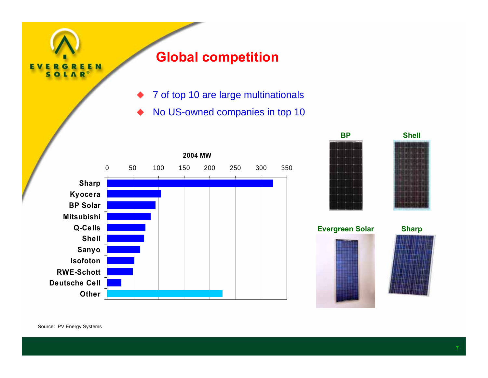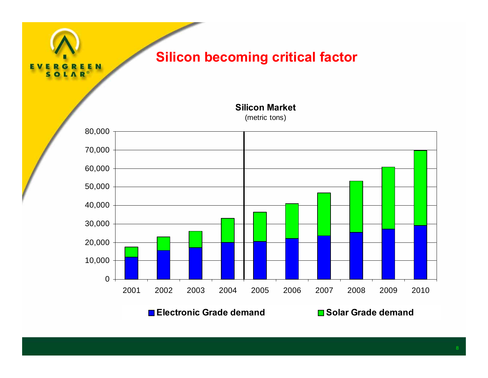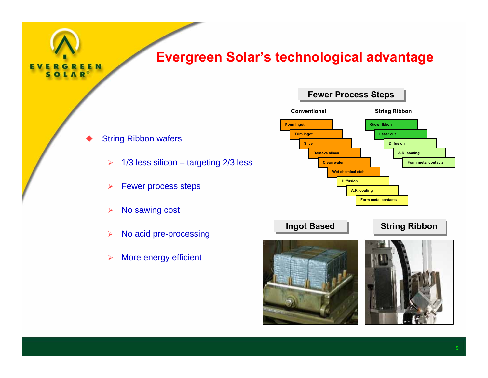### **Evergreen Solar's technological advantage**

◆ String Ribbon wafers:

REEN

G LAR

S

- $\blacktriangleright$ 1/3 less silicon – targeting 2/3 less
- ¾Fewer process steps
- $\blacktriangleright$ No sawing cost
- ¾No acid pre-processing
- $\blacktriangleright$ More energy efficient

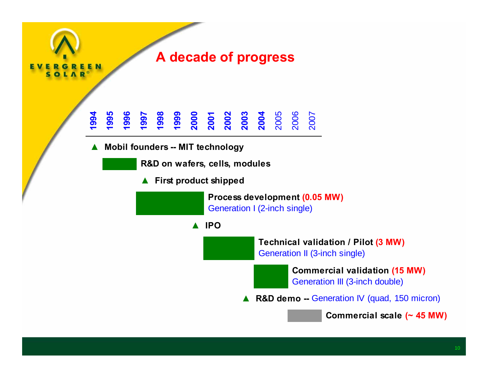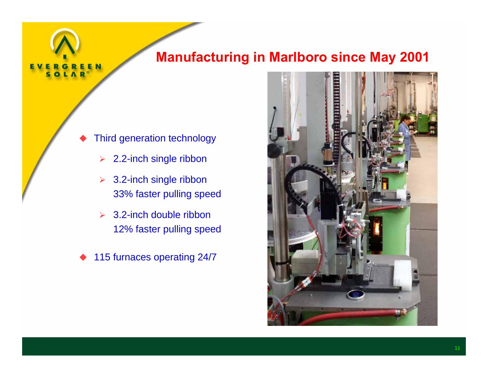## **Manufacturing in Marlboro since May 2001**

- ♦ Third generation technology
	- $\blacktriangleright$ 2.2-inch single ribbon
	- **▶ 3.2-inch single ribbon** 33% faster pulling speed
	- $\geq$  3.2-inch double ribbon 12% faster pulling speed
- ♦ 115 furnaces operating 24/7

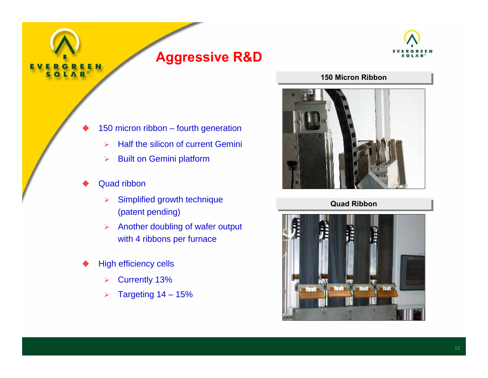

♦

## **Aggressive R&D**



#### **150 Micron Ribbon 150 Micron Ribbon**



150 micron ribbon – fourth generation

- $\blacktriangleright$ Half the silicon of current Gemini
- $\blacktriangleright$ Built on Gemini platform
- ♦ Quad ribbon
	- $\blacktriangleright$  Simplified growth technique (patent pending)
	- ¾ Another doubling of wafer output with 4 ribbons per furnace
- ♦ High efficiency cells
	- $\blacktriangleright$ Currently 13%
	- ¾Targeting 14 – 15%

**Quad Ribbon Quad Ribbon**

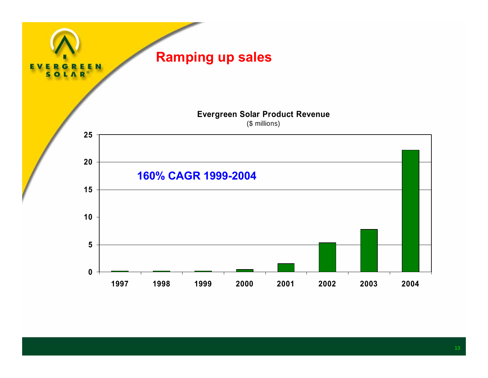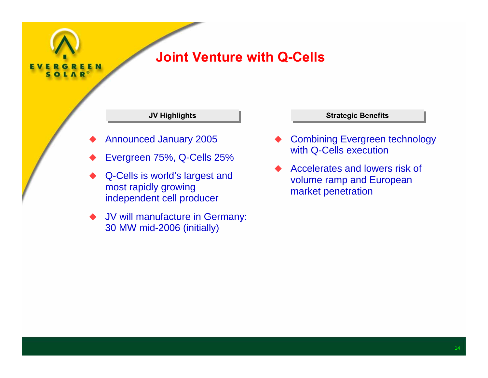

# **Joint Venture with Q-Cells**

- ♦ Announced January 2005
- ♦ Evergreen 75%, Q-Cells 25%
- ♦ Q-Cells is world's largest and most rapidly growing independent cell producer
- ♦ JV will manufacture in Germany: 30 MW mid-2006 (initially)

#### **JV Highlights JV Highlights Strategic Benefits Strategic Benefits**

- ♦ Combining Evergreen technology with Q-Cells execution
- ♦ Accelerates and lowers risk of volume ramp and European market penetration